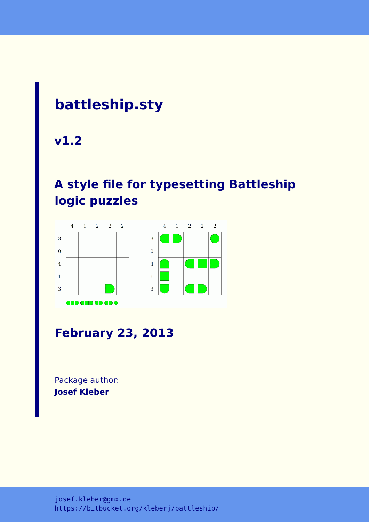# **battleship.sty**

**v1.2**

# **A style file for typesetting Battleship logic puzzles**



# **February 23, 2013**

Package author: **Josef Kleber**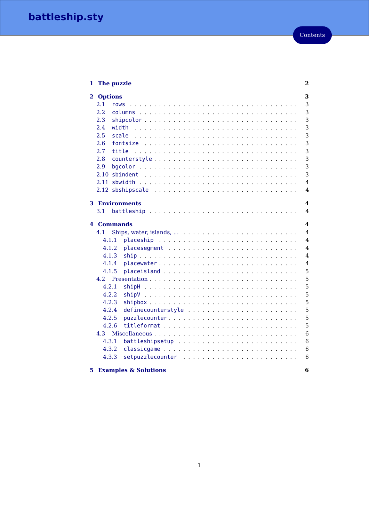| The puzzle<br>1              |                                                                                                | $\overline{\mathbf{2}}$ |
|------------------------------|------------------------------------------------------------------------------------------------|-------------------------|
| 2 Options                    |                                                                                                | 3                       |
| $2.1\,$<br>rows              |                                                                                                | 3                       |
| 2.2                          |                                                                                                | 3                       |
| 2.3                          |                                                                                                | 3                       |
| 2.4                          | width                                                                                          | 3                       |
| 2.5                          | scale                                                                                          | 3                       |
| 2.6                          | fontsize                                                                                       | 3                       |
| 2.7                          | title<br>$\mathbf{1}$ $\mathbf{1}$ $\mathbf{1}$ $\mathbf{1}$                                   | 3                       |
| 2.8                          | counterstyle                                                                                   | 3                       |
| 2.9                          |                                                                                                | 3                       |
| 2.10                         |                                                                                                | 3                       |
| 2.11                         | sbwidth                                                                                        | 4                       |
|                              |                                                                                                | 4                       |
| <b>3</b> Environments<br>3.1 |                                                                                                | 4<br>4                  |
| <b>4 Commands</b>            |                                                                                                | 4                       |
| 4.1                          |                                                                                                | 4                       |
|                              |                                                                                                |                         |
| 4.1.1                        |                                                                                                | 4                       |
| 4.1.2                        |                                                                                                | 4                       |
| 4.1.3                        |                                                                                                | 4                       |
| 4.1.4                        | placewater                                                                                     | 4                       |
| 4.1.5                        |                                                                                                | 5                       |
| 4.2                          | Presentation<br>1.1.1.1<br>$\mathbf{1}$ $\mathbf{1}$ $\mathbf{1}$ $\mathbf{1}$ $\mathbf{1}$    | 5                       |
| 4.2.1                        | shipH<br>$\mathbf{r}$ . $\mathbf{r}$ . $\mathbf{r}$ . $\mathbf{r}$<br>$\overline{\phantom{a}}$ | 5                       |
| 4.2.2                        | $shipV$                                                                                        | 5                       |
| 4.2.3                        | $shipbox$                                                                                      | 5                       |
| 4.2.4                        | definecounterstyle                                                                             | 5                       |
| 4.2.5                        | puzzlecounter                                                                                  | 5                       |
| 4.2.6                        | titleformat                                                                                    | 5                       |
| 4.3                          |                                                                                                | 6                       |
| 4.3.1                        |                                                                                                | 6                       |
| 4.3.2<br>4.3.3               |                                                                                                | 6<br>6                  |

# **[5 Examples & Solutions](#page-6-4) 6**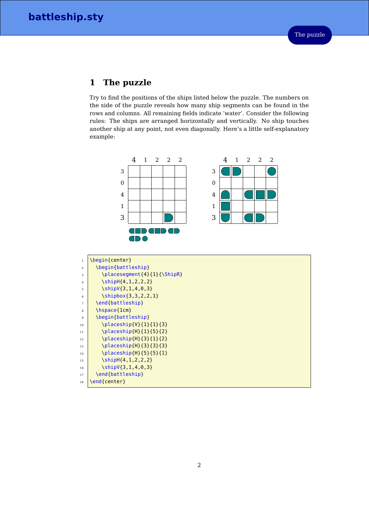# <span id="page-2-0"></span>**1 The puzzle**

Try to find the positions of the ships listed below the puzzle. The numbers on the side of the puzzle reveals how many ship segments can be found in the rows and columns. All remaining fields indicate 'water'. Consider the following rules: The ships are arranged horizontally and vertically. No ship touches another ship at any point, not even diagonally. Here's a little self-explanatory example:

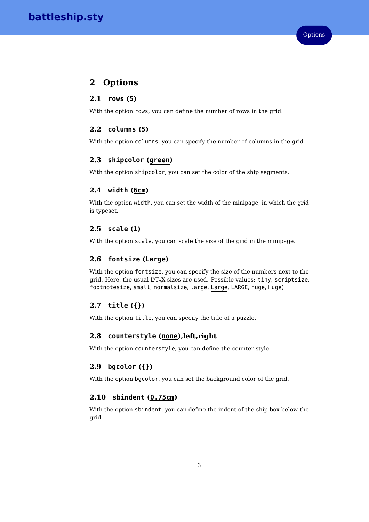# <span id="page-3-0"></span>**2 Options**

# <span id="page-3-1"></span>**2.1 rows (5)**

With the option rows, you can define the number of rows in the grid.

# <span id="page-3-2"></span>**2.2 columns (5)**

With the option columns, you can specify the number of columns in the grid

# <span id="page-3-3"></span>**2.3 shipcolor (green)**

With the option shipcolor, you can set the color of the ship segments.

# <span id="page-3-4"></span>**2.4 width (6cm)**

With the option width, you can set the width of the minipage, in which the grid is typeset.

# <span id="page-3-5"></span>**2.5 scale (1)**

With the option scale, you can scale the size of the grid in the minipage.

# <span id="page-3-6"></span>**2.6 fontsize (Large)**

With the option fontsize, you can specify the size of the numbers next to the grid. Here, the usual  $L^2T_FX$  sizes are used. Possible values: tiny, scriptsize, footnotesize, small, normalsize, large, Large, LARGE, huge, Huge)

# <span id="page-3-7"></span>**2.7 title ({})**

With the option title, you can specify the title of a puzzle.

## <span id="page-3-8"></span>**2.8 counterstyle (none),left,right**

With the option counterstyle, you can define the counter style.

# <span id="page-3-9"></span>**2.9 bgcolor ({})**

With the option bgcolor, you can set the background color of the grid.

# <span id="page-3-10"></span>**2.10 sbindent (0.75cm)**

With the option sbindent, you can define the indent of the ship box below the grid.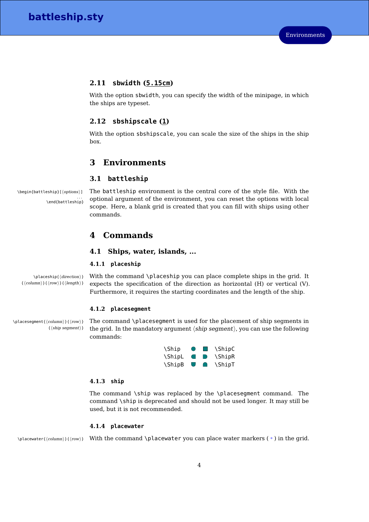### <span id="page-4-0"></span>**2.11 sbwidth (5.15cm)**

With the option sbwidth, you can specify the width of the minipage, in which the ships are typeset.

# <span id="page-4-1"></span>**2.12 sbshipscale (1)**

With the option sbshipscale, you can scale the size of the ships in the ship box.

# <span id="page-4-2"></span>**3 Environments**

#### <span id="page-4-3"></span>**3.1 battleship**

. . . \end{battleship}

 $\begin{pmatrix} \delta_{\text{eq}}\text{int}_{\text{b}}(\text{options}) & \text{the }\text{batt} \text{t} \text{dens} \end{pmatrix}$  and  $\text{options}$  and  $\text{batt}$  the central core of the style file. With the optional argument of the environment, you can reset the options with local scope. Here, a blank grid is created that you can fill with ships using other commands.

# <span id="page-4-4"></span>**4 Commands**

## <span id="page-4-5"></span>**4.1 Ships, water, islands, ...**

#### <span id="page-4-6"></span>**4.1.1 placeship**

 $\{\langle column \rangle\}\{\langle row \rangle\}\{\langle length \rangle\}$ 

 $\Delta$  \placeship{ $\langle$ direction $\rangle$ } With the command  $\Delta$ placeship you can place complete ships in the grid. It expects the specification of the direction as horizontal (H) or vertical (V). Furthermore, it requires the starting coordinates and the length of the ship.

#### <span id="page-4-7"></span>**4.1.2 placesegment**

 $\{\langle ship segment \rangle\}$ 

\placesegment{\column}}{\row}} The command **\placesegment** is used for the placement of ship segments in the grid. In the mandatory argument  $\langle$ ship segment $\rangle$ , you can use the following commands:

| <b>\Ship</b>  | $\bullet$      | $\sim 10$ | \ShipC        |
|---------------|----------------|-----------|---------------|
| <b>\ShipL</b> | $\blacksquare$ | $\Box$    | <b>\ShipR</b> |
| <b>\ShipB</b> | U              | $\bigcap$ | <b>\ShipT</b> |

#### <span id="page-4-8"></span>**4.1.3 ship**

The command \ship was replaced by the \placesegment command. The command \ship is deprecated and should not be used longer. It may still be used, but it is not recommended.

#### <span id="page-4-9"></span>**4.1.4 placewater**

 $\langle$ olacewater{(column)}{(row)} With the command \placewater you can place water markers ( $\bullet$ ) in the grid.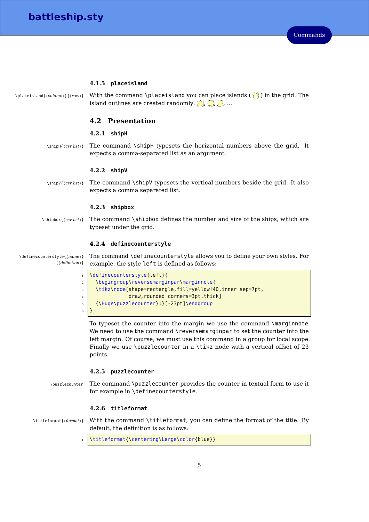#### <span id="page-5-0"></span>**4.1.5 placeisland**

```
\Delta \placeisland{\column}}{\row}} With the command \placeisland you can place islands (\binom{?}{?}) in the grid. The
                  island outlines are created randomly: \Box, \Box, \Box, ...
```
### <span id="page-5-1"></span>**4.2 Presentation**

#### <span id="page-5-2"></span>**4.2.1 shipH**

 $\sin\theta_{\text{csv list}}$  The command  $\sin\theta$  typesets the horizontal numbers above the grid. It expects a comma-separated list as an argument.

#### <span id="page-5-3"></span>**4.2.2 shipV**

 $\binom{\text{csv} list}{\text{csv} list}$  The command  $\lambda$ shipV typesets the vertical numbers beside the grid. It also expects a comma separated list.

#### <span id="page-5-4"></span>**4.2.3 shipbox**

<sup>6</sup> }

 $\langle$ {\shipbox}{\csv list}} The command \shipbox defines the number and size of the ships, which are typeset under the grid.

#### <span id="page-5-5"></span>**4.2.4 definecounterstyle**

 $\setminus$ definecounterstyle{ $\land$ name $\rangle$ } The command  $\setminus$ definecounterstyle allows you to define your own styles. For  $\{\langle definition \rangle\}$ example, the style left is defined as follows:

|                | 1 \definecounterstyle{left}{                             |
|----------------|----------------------------------------------------------|
| $\overline{a}$ | \begingroup\reversemarginpar\marginnote{                 |
| $\overline{3}$ | \tikz\node[shape=rectangle,fill=yellow!40,inner sep=7pt, |
| 4              | draw, rounded corners=3pt, thick]                        |
| 5              | $\{\Huge\{\nuzzlecounter\};\}$ [-23pt]\endqroup          |

To typeset the counter into the margin we use the command \marginnote. We need to use the command \reversemarginpar to set the counter into the left margin. Of course, we must use this command in a group for local scope. Finally we use \puzzlecounter in a \tikz node with a vertical offset of 23 points.

#### <span id="page-5-6"></span>**4.2.5 puzzlecounter**

\puzzlecounter The command \puzzlecounter provides the counter in textual form to use it for example in \definecounterstyle.

#### <span id="page-5-7"></span>**4.2.6 titleformat**

\titleformat{(format)} With the command \titleformat, you can define the format of the title. By default, the definition is as follows:

\titleformat{\centering\Large\color{blue}}